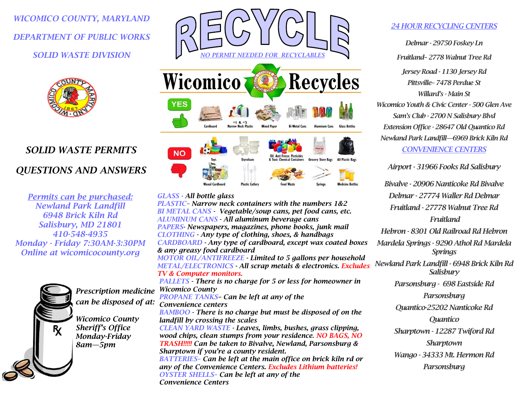*WICOMICO COUNTY, MARYLAND DEPARTMENT OF PUBLIC WORKS SOLID WASTE DIVISION* 



# *SOLID WASTE PERMITS QUESTIONS AND ANSWERS*

*Permits can be purchased: Newland Park Landfill 6948 Brick Kiln Rd Salisbury, MD 21801 410-548-4935 Monday - Friday 7:30AM-3:30PM Online at wicomicocounty.org* 



*NO PERMIT NEEDED FOR RECYCLABLES* Wicomico **Recycles Bi-Metal Cans Glass Bottles NO** Oil. Anti Freeze. Pesticides **Grocery Store Bags All Plastic Bas** 

## *GLASS - All bottle glass*

*PLASTIC– Narrow neck containers with the numbers 1&2 BI METAL CANS - Vegetable/soup cans, pet food cans, etc. ALUMINUM CANS - All aluminum beverage cans PAPERS- Newspapers, magazines, phone books, junk mail CLOTHING - Any type of clothing, shoes, & handbags CARDBOARD - Any type of cardboard, except wax coated boxes & any greasy food cardboard MOTOR OIL/ANTIFREEZE - Limited to 5 gallons per household METAL/ELECTRONICS - All scrap metals & electronics. Excludes TV & Computer monitors. PALLETS - There is no charge for 5 or less for homeowner in Wicomico County PROPANE TANKS– Can be left at any of the Convenience centers BAMBOO - There is no charge but must be disposed of on the landfill by crossing the scales CLEAN YARD WASTE - Leaves, limbs, bushes, grass clipping, wood chips, clean stumps from your residence. NO BAGS, NO TRASH!!!!! Can be taken to Bivalve, Newland, Parsonsburg & Sharptown if you're a county resident. BATTERIES– Can be left at the main office on brick kiln rd or any of the Convenience Centers. Excludes Lithium batteries! OYSTER SHELLS– Can be left at any of the Convenience Centers Prescription medicine can be disposed of at:* 

# *24 HOUR RECYCLING CENTERS*

*Delmar - 29750 Foskey Ln Fruitland– 2778 Walnut Tree Rd Jersey Road - 1130 Jersey Rd Pittsville– 7478 Perdue St Willard's - Main St Wicomico Youth & Civic Center - 500 Glen Ave Sam's Club - 2700 N Salisbury Blvd Extension Office - 28647 Old Quantico Rd Newland Park Landfill—6969 Brick Kiln Rd CONVENIENCE CENTERS* 

*Airport - 31966 Fooks Rd Salisbury* 

*Bivalve - 20906 Nanticoke Rd Bivalve Delmar - 27774 Waller Rd Delmar Fruitland - 27778 Walnut Tree Rd Fruitland Hebron - 8301 Old Railroad Rd Hebron Mardela Springs - 9290 Athol Rd Mardela Springs Newland Park Landfill - 6948 Brick Kiln Rd Salisbury Parsonsburg - 698 Eastside Rd Parsonsburg Quantico-25202 Nanticoke Rd Quantico Sharptown - 12287 Twiford Rd Sharptown Wango - 34333 Mt. Hermon Rd Parsonsburg*